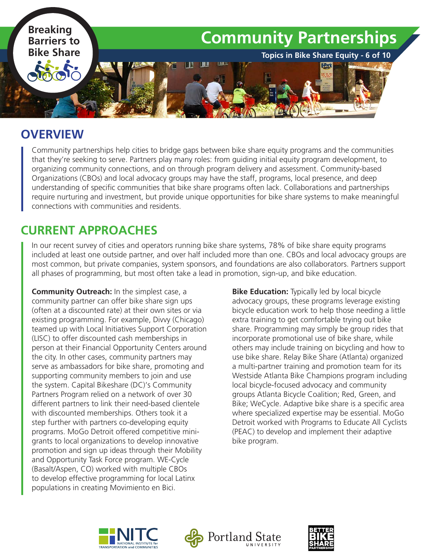

### **OVERVIEW**

Community partnerships help cities to bridge gaps between bike share equity programs and the communities that they're seeking to serve. Partners play many roles: from guiding initial equity program development, to organizing community connections, and on through program delivery and assessment. Community-based Organizations (CBOs) and local advocacy groups may have the staff, programs, local presence, and deep understanding of specific communities that bike share programs often lack. Collaborations and partnerships require nurturing and investment, but provide unique opportunities for bike share systems to make meaningful connections with communities and residents.

# **CURRENT APPROACHES**

In our recent survey of cities and operators running bike share systems, 78% of bike share equity programs included at least one outside partner, and over half included more than one. CBOs and local advocacy groups are most common, but private companies, system sponsors, and foundations are also collaborators. Partners support all phases of programming, but most often take a lead in promotion, sign-up, and bike education.

**Community Outreach:** In the simplest case, a community partner can offer bike share sign ups (often at a discounted rate) at their own sites or via existing programming. For example, Divvy (Chicago) teamed up with Local Initiatives Support Corporation (LISC) to offer discounted cash memberships in person at their Financial Opportunity Centers around the city. In other cases, community partners may serve as ambassadors for bike share, promoting and supporting community members to join and use the system. Capital Bikeshare (DC)'s Community Partners Program relied on a network of over 30 different partners to link their need-based clientele with discounted memberships. Others took it a step further with partners co-developing equity programs. MoGo Detroit offered competitive minigrants to local organizations to develop innovative promotion and sign up ideas through their Mobility and Opportunity Task Force program. WE-Cycle (Basalt/Aspen, CO) worked with multiple CBOs to develop effective programming for local Latinx populations in creating Movimiento en Bici.

**Bike Education:** Typically led by local bicycle advocacy groups, these programs leverage existing bicycle education work to help those needing a little extra training to get comfortable trying out bike share. Programming may simply be group rides that incorporate promotional use of bike share, while others may include training on bicycling and how to use bike share. Relay Bike Share (Atlanta) organized a multi-partner training and promotion team for its Westside Atlanta Bike Champions program including local bicycle-focused advocacy and community groups Atlanta Bicycle Coalition; Red, Green, and Bike; WeCycle. Adaptive bike share is a specific area where specialized expertise may be essential. MoGo Detroit worked with Programs to Educate All Cyclists (PEAC) to develop and implement their adaptive bike program.